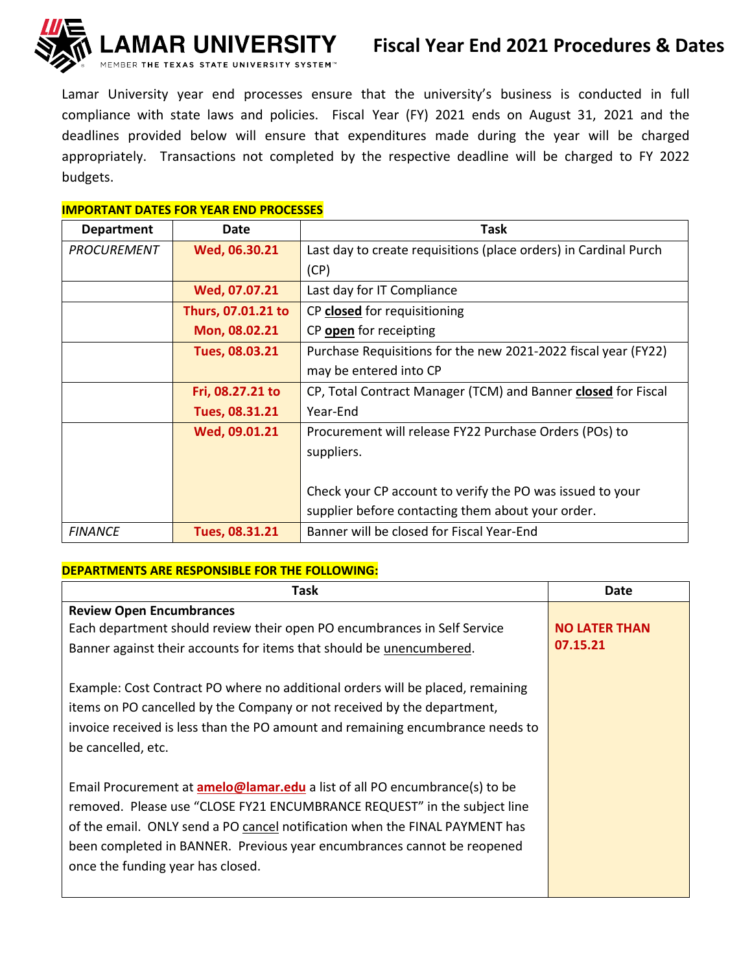

Lamar University year end processes ensure that the university's business is conducted in full compliance with state laws and policies. Fiscal Year (FY) 2021 ends on August 31, 2021 and the deadlines provided below will ensure that expenditures made during the year will be charged appropriately. Transactions not completed by the respective deadline will be charged to FY 2022 budgets.

## **IMPORTANT DATES FOR YEAR END PROCESSES**

| <b>Department</b>  | Date               | Task                                                             |
|--------------------|--------------------|------------------------------------------------------------------|
| <b>PROCUREMENT</b> | Wed, 06.30.21      | Last day to create requisitions (place orders) in Cardinal Purch |
|                    |                    | (CP)                                                             |
|                    | Wed, 07.07.21      | Last day for IT Compliance                                       |
|                    | Thurs, 07.01.21 to | CP closed for requisitioning                                     |
|                    | Mon, 08.02.21      | CP open for receipting                                           |
|                    | Tues, 08.03.21     | Purchase Requisitions for the new 2021-2022 fiscal year (FY22)   |
|                    |                    | may be entered into CP                                           |
|                    | Fri, 08.27.21 to   | CP, Total Contract Manager (TCM) and Banner closed for Fiscal    |
|                    | Tues, 08.31.21     | Year-End                                                         |
|                    | Wed, 09.01.21      | Procurement will release FY22 Purchase Orders (POs) to           |
|                    |                    | suppliers.                                                       |
|                    |                    |                                                                  |
|                    |                    | Check your CP account to verify the PO was issued to your        |
|                    |                    | supplier before contacting them about your order.                |
| <b>FINANCE</b>     | Tues, 08.31.21     | Banner will be closed for Fiscal Year-End                        |

## **DEPARTMENTS ARE RESPONSIBLE FOR THE FOLLOWING:**

| Task                                                                                                                                                                                                                                                                                                                                                         | <b>Date</b>                      |
|--------------------------------------------------------------------------------------------------------------------------------------------------------------------------------------------------------------------------------------------------------------------------------------------------------------------------------------------------------------|----------------------------------|
| <b>Review Open Encumbrances</b><br>Each department should review their open PO encumbrances in Self Service<br>Banner against their accounts for items that should be unencumbered.                                                                                                                                                                          | <b>NO LATER THAN</b><br>07.15.21 |
| Example: Cost Contract PO where no additional orders will be placed, remaining<br>items on PO cancelled by the Company or not received by the department,<br>invoice received is less than the PO amount and remaining encumbrance needs to<br>be cancelled, etc.                                                                                            |                                  |
| Email Procurement at <b>amelo@lamar.edu</b> a list of all PO encumbrance(s) to be<br>removed. Please use "CLOSE FY21 ENCUMBRANCE REQUEST" in the subject line<br>of the email. ONLY send a PO cancel notification when the FINAL PAYMENT has<br>been completed in BANNER. Previous year encumbrances cannot be reopened<br>once the funding year has closed. |                                  |